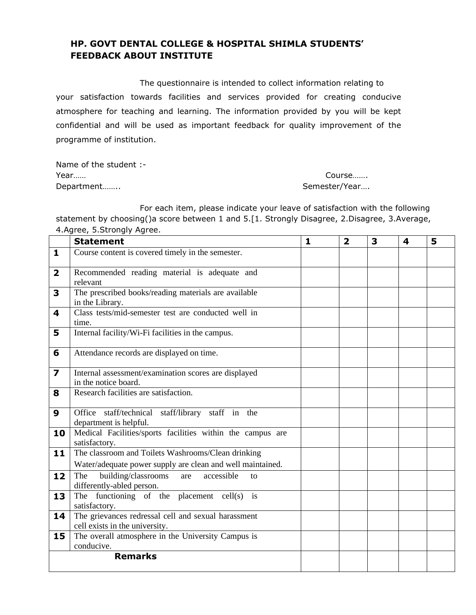### **HP. GOVT DENTAL COLLEGE & HOSPITAL SHIMLA STUDENTS' FEEDBACK ABOUT INSTITUTE**

The questionnaire is intended to collect information relating to your satisfaction towards facilities and services provided for creating conducive atmosphere for teaching and learning. The information provided by you will be kept confidential and will be used as important feedback for quality improvement of the programme of institution.

Name of the student :- Year…… Course…….

Department…….. Semester/Year…..

 For each item, please indicate your leave of satisfaction with the following statement by choosing()a score between 1 and 5.[1. Strongly Disagree, 2.Disagree, 3.Average, 4.Agree, 5.Strongly Agree.

|                         | <b>Statement</b>                                                                                                 | $\mathbf{1}$ | $\overline{\mathbf{2}}$ | 3 | 4 | 5 |
|-------------------------|------------------------------------------------------------------------------------------------------------------|--------------|-------------------------|---|---|---|
| 1                       | Course content is covered timely in the semester.                                                                |              |                         |   |   |   |
| $\overline{\mathbf{2}}$ | Recommended reading material is adequate and<br>relevant                                                         |              |                         |   |   |   |
| 3                       | The prescribed books/reading materials are available<br>in the Library.                                          |              |                         |   |   |   |
| 4                       | Class tests/mid-semester test are conducted well in<br>time.                                                     |              |                         |   |   |   |
| 5                       | Internal facility/Wi-Fi facilities in the campus.                                                                |              |                         |   |   |   |
| 6                       | Attendance records are displayed on time.                                                                        |              |                         |   |   |   |
| 7                       | Internal assessment/examination scores are displayed<br>in the notice board.                                     |              |                         |   |   |   |
| 8                       | Research facilities are satisfaction.                                                                            |              |                         |   |   |   |
| 9                       | Office staff/technical staff/library staff in the<br>department is helpful.                                      |              |                         |   |   |   |
| 10                      | Medical Facilities/sports facilities within the campus are<br>satisfactory.                                      |              |                         |   |   |   |
| 11                      | The classroom and Toilets Washrooms/Clean drinking<br>Water/adequate power supply are clean and well maintained. |              |                         |   |   |   |
| 12                      | building/classrooms<br>accessible<br>The<br>are<br>$\mathsf{f}$<br>differently-abled person.                     |              |                         |   |   |   |
| 13                      | The functioning of the placement cell(s) is<br>satisfactory.                                                     |              |                         |   |   |   |
| 14                      | The grievances redressal cell and sexual harassment<br>cell exists in the university.                            |              |                         |   |   |   |
| 15                      | The overall atmosphere in the University Campus is<br>conducive.                                                 |              |                         |   |   |   |
|                         | <b>Remarks</b>                                                                                                   |              |                         |   |   |   |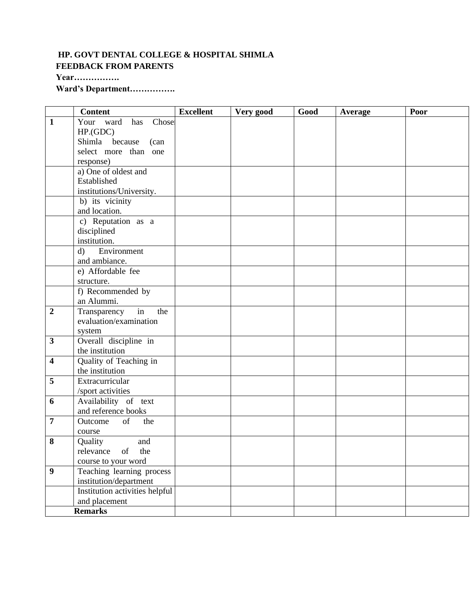# **HP. GOVT DENTAL COLLEGE & HOSPITAL SHIMLA FEEDBACK FROM PARENTS**

**Year…………….**

**Ward's Department…………….**

|                         | <b>Content</b>                 | <b>Excellent</b> | Very good | Good | <b>Average</b> | Poor |
|-------------------------|--------------------------------|------------------|-----------|------|----------------|------|
| $\mathbf{1}$            | Your ward<br>has Chose         |                  |           |      |                |      |
|                         | HP(GDC)                        |                  |           |      |                |      |
|                         | Shimla because<br>(can         |                  |           |      |                |      |
|                         | select more than one           |                  |           |      |                |      |
|                         | response)                      |                  |           |      |                |      |
|                         | a) One of oldest and           |                  |           |      |                |      |
|                         | Established                    |                  |           |      |                |      |
|                         | institutions/University.       |                  |           |      |                |      |
|                         | b) its vicinity                |                  |           |      |                |      |
|                         | and location.                  |                  |           |      |                |      |
|                         | c) Reputation as a             |                  |           |      |                |      |
|                         | disciplined                    |                  |           |      |                |      |
|                         | institution.                   |                  |           |      |                |      |
|                         | Environment<br>$\mathbf{d}$    |                  |           |      |                |      |
|                         | and ambiance.                  |                  |           |      |                |      |
|                         | e) Affordable fee              |                  |           |      |                |      |
|                         | structure.                     |                  |           |      |                |      |
|                         | f) Recommended by              |                  |           |      |                |      |
|                         | an Alummi.                     |                  |           |      |                |      |
| $\boldsymbol{2}$        | in<br>Transparency<br>the      |                  |           |      |                |      |
|                         | evaluation/examination         |                  |           |      |                |      |
|                         | system                         |                  |           |      |                |      |
| $\overline{\mathbf{3}}$ | Overall discipline in          |                  |           |      |                |      |
|                         | the institution                |                  |           |      |                |      |
| $\overline{\mathbf{4}}$ | Quality of Teaching in         |                  |           |      |                |      |
|                         | the institution                |                  |           |      |                |      |
| 5                       | Extracurricular                |                  |           |      |                |      |
|                         | /sport activities              |                  |           |      |                |      |
| 6                       | Availability of text           |                  |           |      |                |      |
|                         | and reference books            |                  |           |      |                |      |
| $\overline{7}$          | of<br>Outcome<br>the           |                  |           |      |                |      |
|                         | course                         |                  |           |      |                |      |
| 8                       | and<br>Quality                 |                  |           |      |                |      |
|                         | relevance of the               |                  |           |      |                |      |
|                         | course to your word            |                  |           |      |                |      |
| $\boldsymbol{9}$        | Teaching learning process      |                  |           |      |                |      |
|                         | institution/department         |                  |           |      |                |      |
|                         | Institution activities helpful |                  |           |      |                |      |
|                         | and placement                  |                  |           |      |                |      |
|                         | <b>Remarks</b>                 |                  |           |      |                |      |